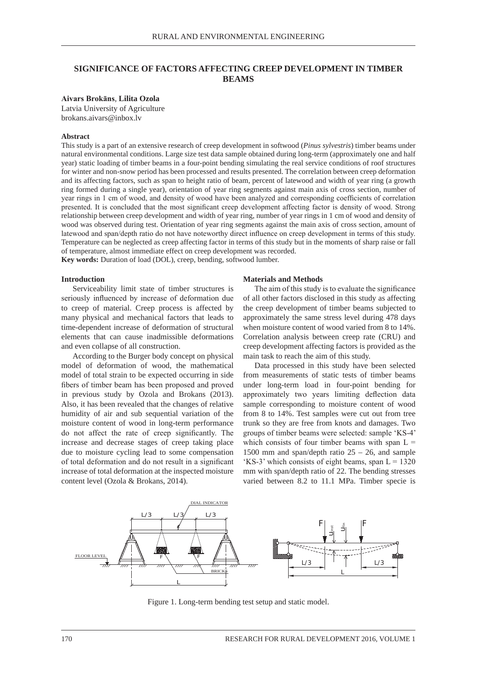# **SIGNIFICANCE OF FACTORS AFFECTING CREEP DEVELOPMENT IN TIMBER BEAMS**

### Aivars Brokāns, Lilita Ozola

Latvia University of Agriculture brokans.aivars@inbox.lv **Abstract**

#### **Abstract**  $\mathbf{b}$

This study is a part of an extensive research of creep development in softwood (*Pinus sylvestris*) timber beams under natural environmental conditions. Large size test data sample obtained during long-term (approximately one and half year) static loading of timber beams in a four-point bending simulating the real service conditions of roof structures bear) state loading of throef beams in a four-point behang simulating the real service conditions of foor structures<br>for winter and non-snow period has been processed and results presented. The correlation between creep de and its affecting factors, such as span to height ratio of beam, percent of latewood and width of year ring (a growth ring formed during a single year), orientation of year ring segments against main axis of cross section, number of year rings in 1 cm of wood, and density of wood have been analyzed and corresponding coefficients of correlation presented. It is concluded that the most significant creep development affecting factor is density of wood. Strong relationship between creep development and width of year ring, number of year rings in 1 cm of wood and density of wood was observed during test. Orientation of year ring segments against the main axis of cross section, amount of latewood and span/depth ratio do not have noteworthy direct influence on creep development in terms of this study. Temperature can be neglected as creep affecting factor in terms of this study but in the moments of sharp raise or fall of temperature, almost immediate effect on creep development was recorded. while and non-show period has been processed and results presented. The correlation between creep deformate

Key words: Duration of load (DOL), creep, bending, softwood lumber.

## **Introduction**

seriously influenced by increase of deformation due to creep of material. Creep process is affected by many physical and mechanical factors that leads to time-dependent increase of deformation of structural when moisture content of wood varied from 8 to 14 elements that can cause inadmissible deformations and even collapse of all construction.  $\text{S}^{\text{c}}$  (b) construction.

According to the Burger body concept on physical inspected moisture content of  $\frac{1}{2}$ model of deformation of wood, the mathematical model of total strain to be expected occurring in side fibers of timber beam has been proposed and proved in previous study by Ozola and Brokans (2013). Also, it has been revealed that the changes of relative sample corresponding to moistu humidity of air and sub sequential variation of the moisture content of wood in long-term performance do not affect the rate of creep significantly. The increase and decrease stages of creep taking place due to moisture cycling lead to some compensation of total deformation and do not result in a significant 'KS-3' which consists of eight beams, span L = 13 increase of total deformation at the inspected moisture content level (Ozola & Brokans, 2014).  $m_{\text{max}}$  and  $\sigma_{\text{max}}$  and static model are given in Figure 1.1. The static model are given in Figure 1.1. The static model are given in Figure 1.1. The static model are given in Figure 1.1. The static model are given i

## **Materials and Methods creeduction**

Serviceability limit state of timber structures is The aim of this study is to evaluate the significant Serviceability limit state of timber structures is The aim of this study is to evaluate the significance fluenced by increase of deformation due of all other factors disclosed in this study as affecting creep of material. Creep process is affected by the creep development of timber beams subjected to ny physical and mechanical factors that leads to approximately the same stress level during 478 days when moisture content of wood varied from 8 to 14%. nents that can cause inadmissible deformations Correlation analysis between creep rate (CRU) and even collapse of all construction.  $\qquad \qquad \text{creep development affecting factors is provided as the}$ main task to reach the aim of this study.

Data processed in this study have been selected tal strain to be expected occurring in side from measurements of static tests of timber beams rs of timber beam has been proposed and proved under long-term load in four-point bending for previous study by Ozola and Brokans (2013). approximately two years limiting deflection data sample corresponding to moisture content of wood f air and sub sequential variation of the from 8 to 14%. Test samples were cut out from tree trunk so the free from knots and damages. Two states in four-point bending for an experience of wood in long-term performance trunk so they are free from knots and damages. Two not affect the rate of creep significantly. The groups of timber beams were selected: sample 'KS-4' rease and decrease stages of creep taking place which consists of four timber beams with span  $L =$ to moisture cycling lead to some compensation 1500 mm and span/depth ratio  $25 - 26$ , and sample 'KS-3' which consists of eight beams, span  $L = 1320$ rease of total deformation at the inspected moisture mm with span/depth ratio of 22. The bending stresses tent level (Ozola & Brokans, 2014). varied between 8.2 to 11.1 MPa. Timber specie is content of wood in forg-term performance trunk so they are free from knots and damages. If



Figure 1. Long-term bending test setup and static model.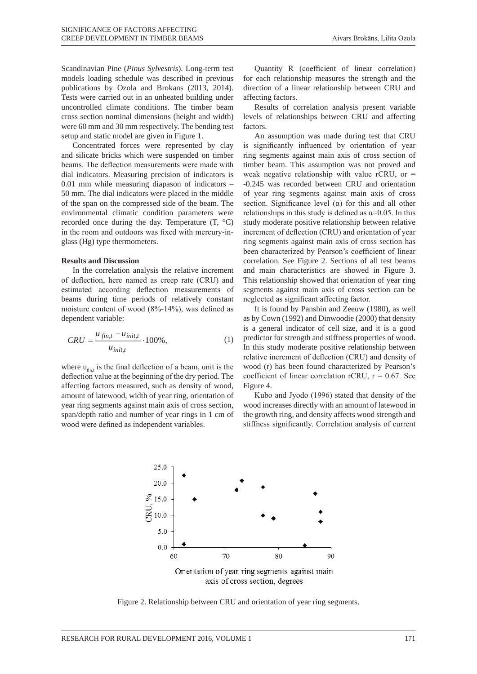Scandinavian Pine (*Pinus Sylvestris*). Long-term test models loading schedule was described in previous publications by Ozola and Brokans (2013, 2014). Tests were carried out in an unheated building under uncontrolled climate conditions. The timber beam cross section nominal dimensions (height and width) were 60 mm and 30 mm respectively. The bending test setup and static model are given in Figure 1.

Concentrated forces were represented by clay and silicate bricks which were suspended on timber beams. The deflection measurements were made with dial indicators. Measuring precision of indicators is 0.01 mm while measuring diapason of indicators – 50 mm. The dial indicators were placed in the middle of the span on the compressed side of the beam. The environmental climatic condition parameters were recorded once during the day. Temperature  $(T, \,^{\circ}C)$ in the room and outdoors was fixed with mercury-in-<br>increment of glass (Hg) type thermometers. The matter made with dial indicators were made with dial indicators in the segments

## **Results and Discussion** correlation. S

In the correlation analysis the relative increment and main ch of deflection, here named as creep rate (CRU) and estimated according deflection measurements of beams during time periods of relatively constant moisture content of wood  $(8\degree-14\degree)$ , was defined as creative increment of wood  $(8\degree-14\degree)$ , was defined as dependent variable:  $\frac{d}{dt}$  defined as  $\frac{d}{dt}$  defined as  $\frac{d}{dt}$  of  $\frac{d}{dt}$  of  $\frac{d}{dt}$  constant moisture periods of  $\frac{d}{dt}$ copendent variable:

$$
CRU = \frac{u_{fin,t} - u_{init,t}}{u_{init,t}} \cdot 100\%,\tag{1}
$$

where  $u_{\text{fin, t}}$  is the final deflection of a beam, unit is the wood (r) has  $u_{\text{fin, t}}$  is the final deflection of a beam, unit is the wood (r) has deflection value at the beginning of the dry period. The coefficient of  $\frac{d}{dx}$ affecting factors measured, such as density of wood, Figure 4. year ring segments against main axis of cross section, wood increase span/depth ratio and number of year rings in 1 cm of wood were defined as independent variables. stiffness signiamount of latewood, width of year ring, orientation of

Quantity R (coefficient of linear correlation) for each relationship measures the strength and the direction of a linear relationship between CRU and affecting factors.

Results of correlation analysis present variable levels of relationships between CRU and affecting factors.

been characterized by Pearson's coefficient of linear An assumption was made during test that CRU is significantly influenced by orientation of year ring segments against main axis of cross section of timber beam. This assumption was not proved and weak negative relationship with value rCRU, or  $=$ -0.245 was recorded between CRU and orientation of year ring segments against main axis of cross section. Significance level  $(\alpha)$  for this and all other relationships in this study is defined as  $\alpha$ =0.05. In this study moderate positive relationship between relative increment of deflection (CRU) and orientation of year ring segments against main axis of cross section has correlation. See Figure 2. Sections of all test beams and main characteristics are showed in Figure 3. This relationship showed that orientation of year ring segments against main axis of cross section can be neglected as significant affecting factor.

> relative increment of deflection (CRU) and density of It is found by Panshin and Zeeuw (1980), as well as by Cown (1992) and Dinwoodie (2000) that density is a general indicator of cell size, and it is a good predictor for strength and stiffness properties of wood. In this study moderate positive relationship between wood (r) has been found characterized by Pearson's coefficient of linear correlation rCRU,  $r = 0.67$ . See Figure 4.

> Kubo and Jyodo (1996) stated that density of the wood increases directly with an amount of latewood in the growth ring, and density affects wood strength and stiffness significantly. Correlation analysis of current



Figure 2. Relationship between CRU and orientation of year ring segments.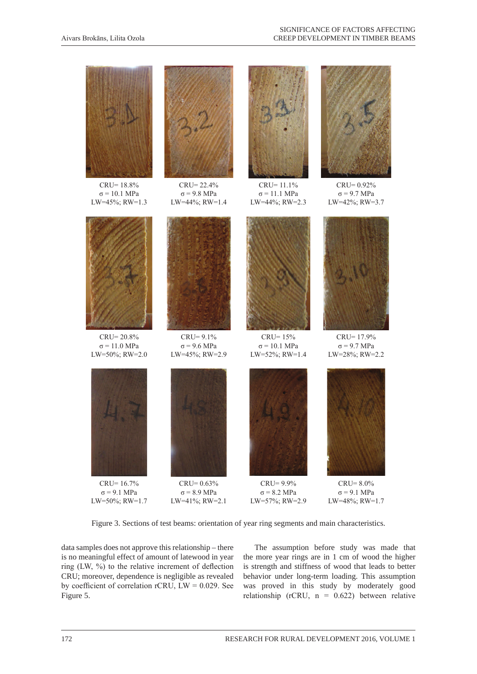

Figure 3. Sections of test beams: orientation of year ring segments and main characteristics.

data samples does not approve this relationship – there is no meaningful effect of amount of latewood in year ring (LW, %) to the relative increment of deflection CRU; moreover, dependence is negligible as revealed by coefficient of correlation rCRU,  $LW = 0.029$ . See Figure 5.

The assumption before study was made that the more year rings are in 1 cm of wood the higher is strength and stiffness of wood that leads to better behavior under long-term loading. This assumption was proved in this study by moderately good relationship (rCRU,  $n = 0.622$ ) between relative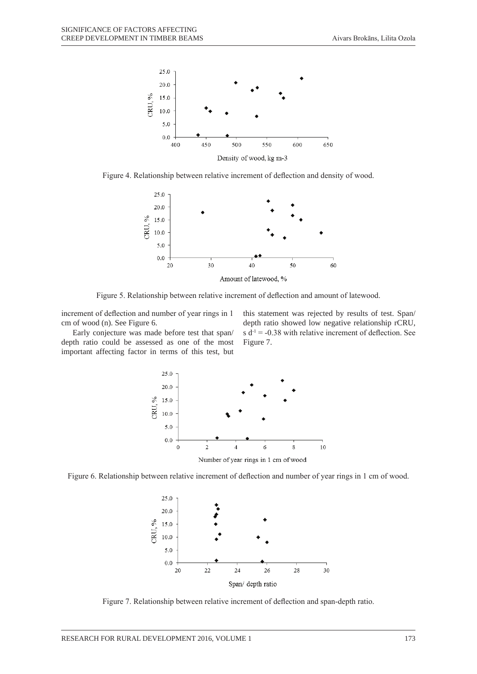

Figure 4. Relationship between relative increment of deflection and density of wood.



Figure 5. Relationship between relative increment of deflection and amount of latewood.

increment of deflection and number of year rings in 1 cm of wood (n). See Figure 6.

Early conjecture was made before test that span/ depth ratio could be assessed as one of the most important affecting factor in terms of this test, but

this statement was rejected by results of test. Span/ depth ratio showed low negative relationship rCRU, s  $d^{-1} = -0.38$  with relative increment of deflection. See Figure 7.







Figure 7. Relationship between relative increment of deflection and span-depth ratio.